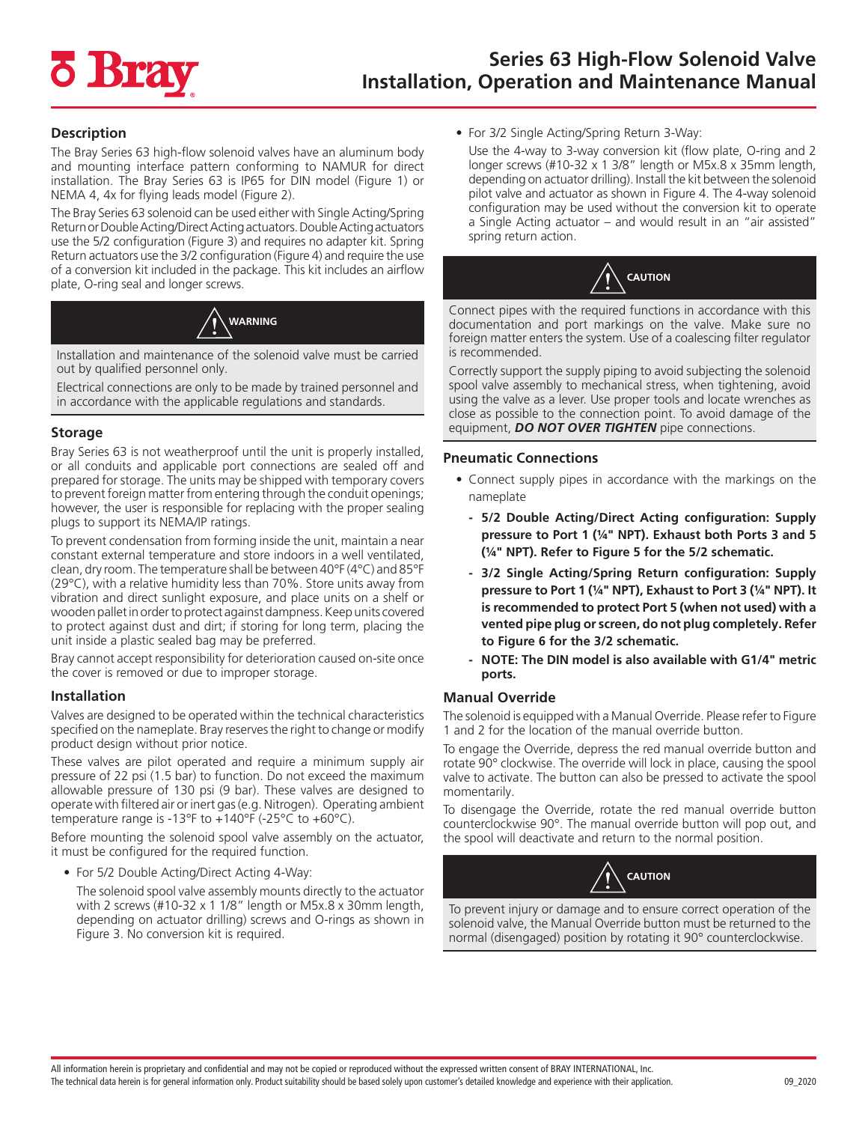# **7 Bra**

## **Description**

The Bray Series 63 high-flow solenoid valves have an aluminum body and mounting interface pattern conforming to NAMUR for direct installation. The Bray Series 63 is IP65 for DIN model (Figure 1) or NEMA 4, 4x for flying leads model (Figure 2).

The Bray Series 63 solenoid can be used either with Single Acting/Spring Return or Double Acting/Direct Acting actuators. Double Acting actuators use the 5/2 configuration (Figure 3) and requires no adapter kit. Spring Return actuators use the 3/2 configuration (Figure 4) and require the use of a conversion kit included in the package. This kit includes an airflow plate, O-ring seal and longer screws.



Installation and maintenance of the solenoid valve must be carried out by qualified personnel only.

Electrical connections are only to be made by trained personnel and in accordance with the applicable regulations and standards.

## **Storage**

Bray Series 63 is not weatherproof until the unit is properly installed, or all conduits and applicable port connections are sealed off and prepared for storage. The units may be shipped with temporary covers to prevent foreign matter from entering through the conduit openings; however, the user is responsible for replacing with the proper sealing plugs to support its NEMA/IP ratings.

To prevent condensation from forming inside the unit, maintain a near constant external temperature and store indoors in a well ventilated, clean, dry room. The temperature shall be between 40°F (4°C) and 85°F (29°C), with a relative humidity less than 70%. Store units away from vibration and direct sunlight exposure, and place units on a shelf or wooden pallet in order to protect against dampness. Keep units covered to protect against dust and dirt; if storing for long term, placing the unit inside a plastic sealed bag may be preferred.

Bray cannot accept responsibility for deterioration caused on-site once the cover is removed or due to improper storage.

## **Installation**

Valves are designed to be operated within the technical characteristics specified on the nameplate. Bray reserves the right to change or modify product design without prior notice.

These valves are pilot operated and require a minimum supply air pressure of 22 psi (1.5 bar) to function. Do not exceed the maximum allowable pressure of 130 psi (9 bar). These valves are designed to operate with filtered air or inert gas (e.g. Nitrogen). Operating ambient temperature range is -13°F to  $+140$ °F (-25°C to  $+60$ °C).

Before mounting the solenoid spool valve assembly on the actuator, it must be configured for the required function.

• For 5/2 Double Acting/Direct Acting 4-Way:

The solenoid spool valve assembly mounts directly to the actuator with 2 screws (#10-32 x 1 1/8" length or M5x.8 x 30mm length, depending on actuator drilling) screws and O-rings as shown in Figure 3. No conversion kit is required.

- For 3/2 Single Acting/Spring Return 3-Way:
- Use the 4-way to 3-way conversion kit (flow plate, O-ring and 2 longer screws (#10-32 x 1 3/8" length or M5x.8 x 35mm length, depending on actuator drilling). Install the kit between the solenoid pilot valve and actuator as shown in Figure 4. The 4-way solenoid configuration may be used without the conversion kit to operate a Single Acting actuator – and would result in an "air assisted" spring return action.



Connect pipes with the required functions in accordance with this documentation and port markings on the valve. Make sure no foreign matter enters the system. Use of a coalescing filter regulator is recommended.

Correctly support the supply piping to avoid subjecting the solenoid spool valve assembly to mechanical stress, when tightening, avoid using the valve as a lever. Use proper tools and locate wrenches as close as possible to the connection point. To avoid damage of the equipment, *DO NOT OVER TIGHTEN* pipe connections.

## **Pneumatic Connections**

- Connect supply pipes in accordance with the markings on the nameplate
	- **- 5/2 Double Acting/Direct Acting configuration: Supply pressure to Port 1 (¼" NPT). Exhaust both Ports 3 and 5 (¼" NPT). Refer to Figure 5 for the 5/2 schematic.**
	- **- 3/2 Single Acting/Spring Return configuration: Supply pressure to Port 1 (¼" NPT), Exhaust to Port 3 (¼" NPT). It is recommended to protect Port 5 (when not used) with a vented pipe plug or screen, do not plug completely. Refer to Figure 6 for the 3/2 schematic.**
	- **- NOTE: The DIN model is also available with G1/4" metric ports.**

# **Manual Override**

The solenoid is equipped with a Manual Override. Please refer to Figure 1 and 2 for the location of the manual override button.

To engage the Override, depress the red manual override button and rotate 90° clockwise. The override will lock in place, causing the spool valve to activate. The button can also be pressed to activate the spool momentarily.

To disengage the Override, rotate the red manual override button counterclockwise 90°. The manual override button will pop out, and the spool will deactivate and return to the normal position.



To prevent injury or damage and to ensure correct operation of the solenoid valve, the Manual Override button must be returned to the normal (disengaged) position by rotating it 90° counterclockwise.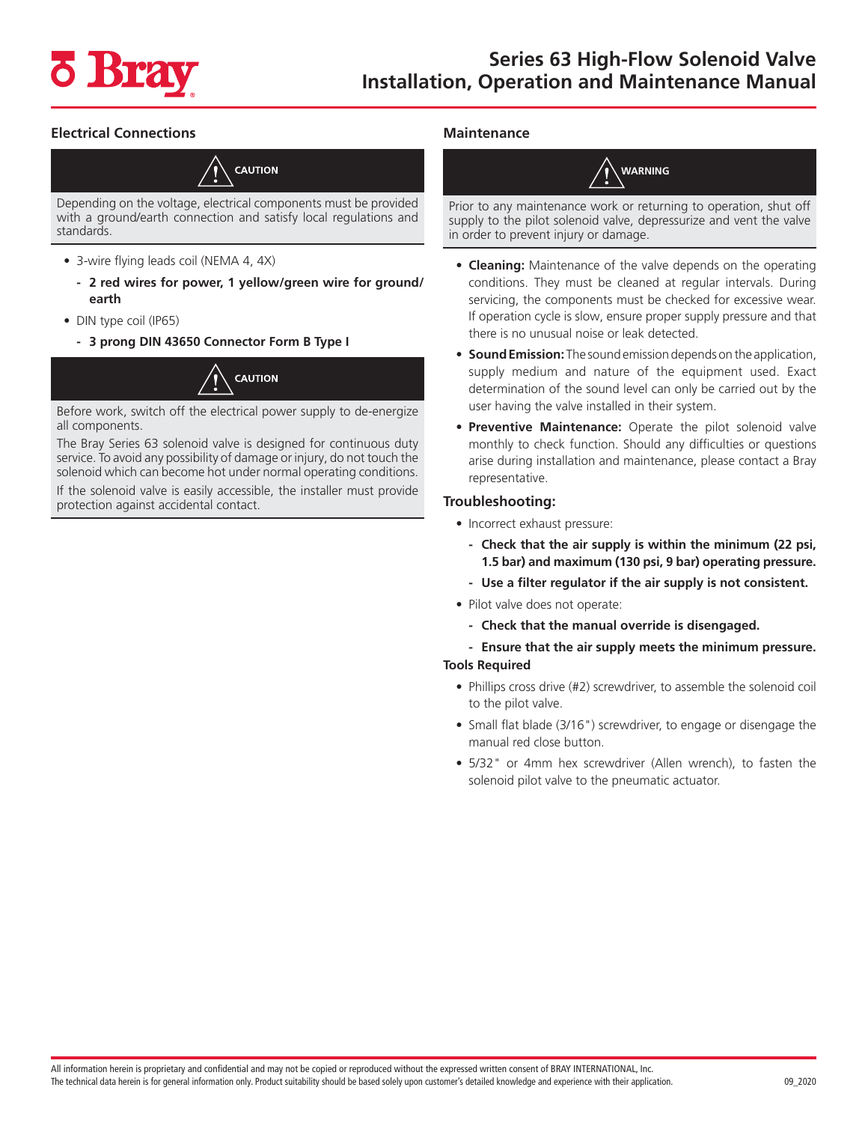

# **Electrical Connections**



Depending on the voltage, electrical components must be provided with a ground/earth connection and satisfy local regulations and standards.

- 3-wire flying leads coil (NEMA 4, 4X)
	- **- 2 red wires for power, 1 yellow/green wire for ground/ earth**
- DIN type coil (IP65)
	- **- 3 prong DIN 43650 Connector Form B Type I**



Before work, switch off the electrical power supply to de-energize all components.

The Bray Series 63 solenoid valve is designed for continuous duty service. To avoid any possibility of damage or injury, do not touch the solenoid which can become hot under normal operating conditions.

If the solenoid valve is easily accessible, the installer must provide protection against accidental contact.

## **Maintenance**

**WARNING**

Prior to any maintenance work or returning to operation, shut off supply to the pilot solenoid valve, depressurize and vent the valve in order to prevent injury or damage.

- **Cleaning:** Maintenance of the valve depends on the operating conditions. They must be cleaned at regular intervals. During servicing, the components must be checked for excessive wear. If operation cycle is slow, ensure proper supply pressure and that there is no unusual noise or leak detected.
- **• Sound Emission:** The sound emission depends on the application, supply medium and nature of the equipment used. Exact determination of the sound level can only be carried out by the user having the valve installed in their system.
- **• Preventive Maintenance:** Operate the pilot solenoid valve monthly to check function. Should any difficulties or questions arise during installation and maintenance, please contact a Bray representative.

## **Troubleshooting:**

- Incorrect exhaust pressure:
	- **- Check that the air supply is within the minimum (22 psi, 1.5 bar) and maximum (130 psi, 9 bar) operating pressure.**
	- **- Use a filter regulator if the air supply is not consistent.**
- Pilot valve does not operate:
	- **- Check that the manual override is disengaged.**
	- **- Ensure that the air supply meets the minimum pressure.**

## **Tools Required**

- Phillips cross drive (#2) screwdriver, to assemble the solenoid coil to the pilot valve.
- Small flat blade (3/16") screwdriver, to engage or disengage the manual red close button.
- 5/32" or 4mm hex screwdriver (Allen wrench), to fasten the solenoid pilot valve to the pneumatic actuator.